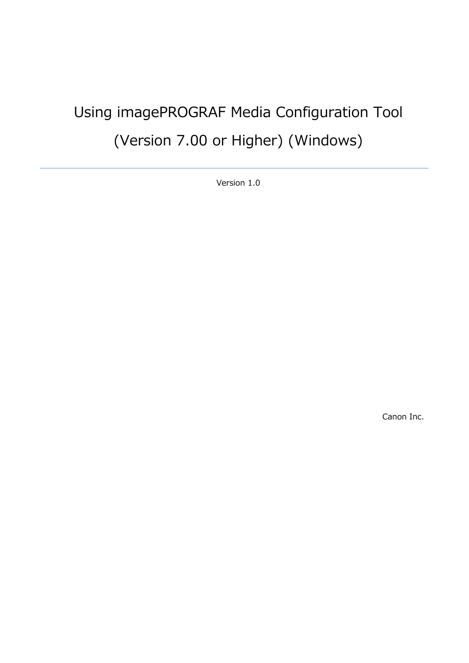# Using imagePROGRAF Media Configuration Tool (Version 7.00 or Higher) (Windows)

Version 1.0

Canon Inc.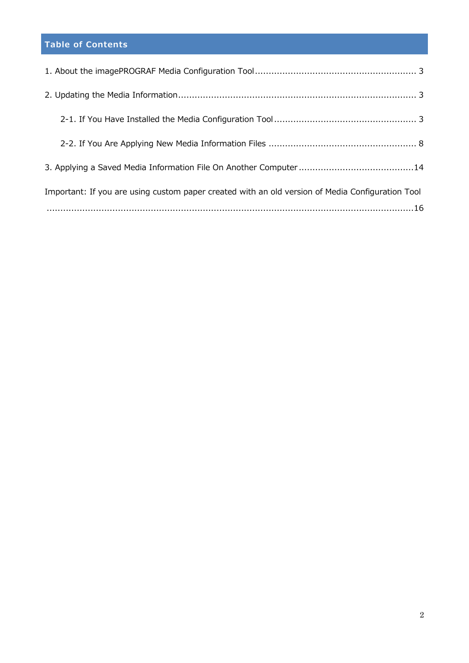# **Table of Contents**

| Important: If you are using custom paper created with an old version of Media Configuration Tool |
|--------------------------------------------------------------------------------------------------|
|                                                                                                  |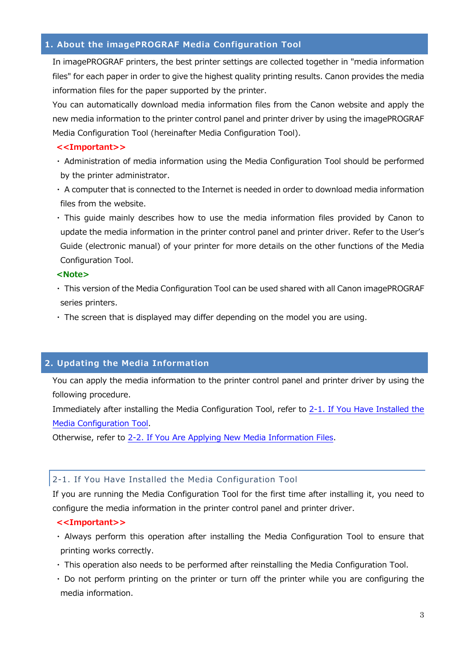## <span id="page-2-0"></span>**1. About the imagePROGRAF Media Configuration Tool**

In imagePROGRAF printers, the best printer settings are collected together in "media information files" for each paper in order to give the highest quality printing results. Canon provides the media information files for the paper supported by the printer.

You can automatically download media information files from the Canon website and apply the new media information to the printer control panel and printer driver by using the imagePROGRAF Media Configuration Tool (hereinafter Media Configuration Tool).

#### **<<Important>>**

- ・ Administration of media information using the Media Configuration Tool should be performed by the printer administrator.
- ・ A computer that is connected to the Internet is needed in order to download media information files from the website.
- ・ This guide mainly describes how to use the media information files provided by Canon to update the media information in the printer control panel and printer driver. Refer to the User's Guide (electronic manual) of your printer for more details on the other functions of the Media Configuration Tool.

#### **<Note>**

- ・ This version of the Media Configuration Tool can be used shared with all Canon imagePROGRAF series printers.
- ・ The screen that is displayed may differ depending on the model you are using.

# **2. Updating the Media Information**

You can apply the media information to the printer control panel and printer driver by using the following procedure.

Immediately after installing the Media Configuration Tool, refer to [2-1. If You Have Installed the](#page-2-0)  [Media Configuration Tool](#page-2-0).

Otherwise, refer to [2-2. If You Are Applying New Media Information Files](#page-7-0).

#### 2-1. If You Have Installed the Media Configuration Tool

If you are running the Media Configuration Tool for the first time after installing it, you need to configure the media information in the printer control panel and printer driver.

#### **<<Important>>**

- ・ Always perform this operation after installing the Media Configuration Tool to ensure that printing works correctly.
- ・ This operation also needs to be performed after reinstalling the Media Configuration Tool.
- ・ Do not perform printing on the printer or turn off the printer while you are configuring the media information.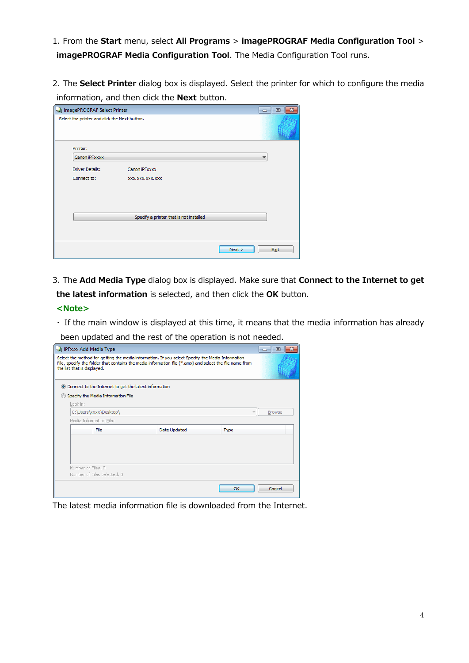1. From the **Start** menu, select **All Programs** > **imagePROGRAF Media Configuration Tool** > **imagePROGRAF Media Configuration Tool**. The Media Configuration Tool runs.

2. The **Select Printer** dialog box is displayed. Select the printer for which to configure the media information, and then click the **Next** button.

| imagePROGRAF Select Printer<br>---            |                                         |        |      |  |
|-----------------------------------------------|-----------------------------------------|--------|------|--|
| Select the printer and click the Next button. |                                         |        |      |  |
| Printer:                                      |                                         |        |      |  |
| Canon iPFxxxx                                 |                                         |        | ▼    |  |
| <b>Driver Details:</b>                        | Canon iPFxxxx                           |        |      |  |
| Connect to:                                   | XXX, XXX, XXX, XXX                      |        |      |  |
|                                               |                                         |        |      |  |
|                                               |                                         |        |      |  |
|                                               |                                         |        |      |  |
|                                               | Specify a printer that is not installed |        |      |  |
|                                               |                                         |        |      |  |
|                                               |                                         | Next > | Exit |  |

3. The **Add Media Type** dialog box is displayed. Make sure that **Connect to the Internet to get the latest information** is selected, and then click the **OK** button.

#### **<Note>**

・ If the main window is displayed at this time, it means that the media information has already

been updated and the rest of the operation is not needed.

| -31 iPFxxx Add Media Type                                                                                                                                                                                                                   |              | $\Box$        |
|---------------------------------------------------------------------------------------------------------------------------------------------------------------------------------------------------------------------------------------------|--------------|---------------|
| Select the method for getting the media information. If you select Specify the Media Information<br>File, specify the folder that contains the media information file (*, amx) and select the file name from<br>the list that is displayed. |              |               |
| • Connect to the Internet to get the latest information                                                                                                                                                                                     |              |               |
| Specify the Media Information File                                                                                                                                                                                                          |              |               |
| Look in:                                                                                                                                                                                                                                    |              |               |
| C:\Users\xxxx\Desktop\                                                                                                                                                                                                                      |              | <b>Browse</b> |
| Media Information File:                                                                                                                                                                                                                     |              |               |
| File                                                                                                                                                                                                                                        | Date Updated | <b>Type</b>   |
|                                                                                                                                                                                                                                             |              |               |
|                                                                                                                                                                                                                                             |              |               |
| Number of Files: 0                                                                                                                                                                                                                          |              |               |
| Number of Files Selected: 0                                                                                                                                                                                                                 |              |               |
|                                                                                                                                                                                                                                             |              | OK<br>Cancel  |

The latest media information file is downloaded from the Internet.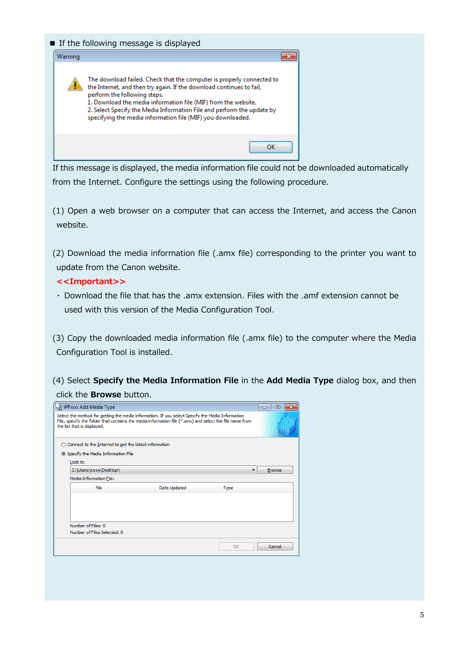#### ■ If the following message is displayed



If this message is displayed, the media information file could not be downloaded automatically from the Internet. Configure the settings using the following procedure.

(1) Open a web browser on a computer that can access the Internet, and access the Canon website.

(2) Download the media information file (.amx file) corresponding to the printer you want to update from the Canon website.

#### **<<Important>>**

・ Download the file that has the .amx extension. Files with the .amf extension cannot be used with this version of the Media Configuration Tool.

(3) Copy the downloaded media information file (.amx file) to the computer where the Media Configuration Tool is installed.

(4) Select **Specify the Media Information File** in the **Add Media Type** dialog box, and then click the **Browse** button.

| -31 iPFxxx Add Media Type                                                                                                                                                                                                                   |              | $\Box$      | 叵             |  |  |
|---------------------------------------------------------------------------------------------------------------------------------------------------------------------------------------------------------------------------------------------|--------------|-------------|---------------|--|--|
| Select the method for getting the media information. If you select Specify the Media Information<br>File, specify the folder that contains the media information file (*, amx) and select the file name from<br>the list that is displayed. |              |             |               |  |  |
| Connect to the Internet to get the latest information                                                                                                                                                                                       |              |             |               |  |  |
| Specify the Media Information File                                                                                                                                                                                                          |              |             |               |  |  |
| Look in:                                                                                                                                                                                                                                    |              |             |               |  |  |
| C:\Users\xxxx\Desktop\                                                                                                                                                                                                                      |              |             | <b>Browse</b> |  |  |
| Media Information File:                                                                                                                                                                                                                     |              |             |               |  |  |
| File                                                                                                                                                                                                                                        | Date Updated | <b>Type</b> |               |  |  |
|                                                                                                                                                                                                                                             |              |             |               |  |  |
|                                                                                                                                                                                                                                             |              |             |               |  |  |
| Number of Files: 0<br>Number of Files Selected: 0                                                                                                                                                                                           |              |             |               |  |  |
|                                                                                                                                                                                                                                             |              | OK          | Cancel        |  |  |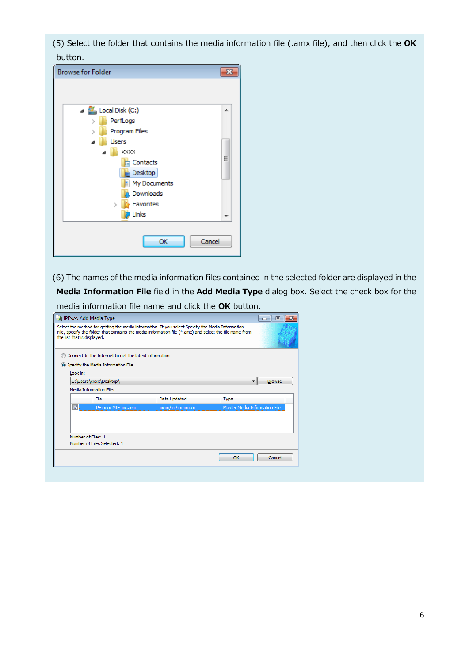(5) Select the folder that contains the media information file (.amx file), and then click the **OK** button.

| <b>Browse for Folder</b>                          |   |
|---------------------------------------------------|---|
|                                                   |   |
| $\blacktriangleleft$ $\mathbf{H}$ Local Disk (C:) | ▲ |
| PerfLogs<br>D                                     |   |
| Program Files<br>Ь                                |   |
| Users<br>◢                                        |   |
| <b>XXXX</b>                                       |   |
| Contacts<br>Desktop<br>My Documents               | Ξ |
| Downloads                                         |   |
| Favorites<br>Þ                                    |   |
| Links                                             |   |
| OK<br>Cancel                                      |   |

(6) The names of the media information files contained in the selected folder are displayed in the **Media Information File** field in the **Add Media Type** dialog box. Select the check box for the media information file name and click the **OK** button.

| iPFxxxx Add Media Type                            |                                                       |                                                                                                                                                                                                             |                               | 叵             |  |
|---------------------------------------------------|-------------------------------------------------------|-------------------------------------------------------------------------------------------------------------------------------------------------------------------------------------------------------------|-------------------------------|---------------|--|
| the list that is displayed.                       |                                                       | Select the method for getting the media information. If you select Specify the Media Information<br>File, specify the folder that contains the media information file (*.amx) and select the file name from |                               |               |  |
|                                                   | Connect to the Internet to get the latest information |                                                                                                                                                                                                             |                               |               |  |
|                                                   | Specify the Media Information File                    |                                                                                                                                                                                                             |                               |               |  |
| Look in:                                          |                                                       |                                                                                                                                                                                                             |                               |               |  |
|                                                   | C:\Users\xxxx\Desktop\                                |                                                                                                                                                                                                             | ▼                             | <b>Browse</b> |  |
|                                                   | Media Information File:                               |                                                                                                                                                                                                             |                               |               |  |
|                                                   | File                                                  | Date Updated                                                                                                                                                                                                | <b>Type</b>                   |               |  |
|                                                   | iPFxxxx-MIF-xx.amx                                    | xxxx/xx/xx xx:xx                                                                                                                                                                                            | Master Media Information File |               |  |
| Number of Files: 1<br>Number of Files Selected: 1 |                                                       |                                                                                                                                                                                                             |                               |               |  |
|                                                   |                                                       |                                                                                                                                                                                                             | OK                            | Cancel        |  |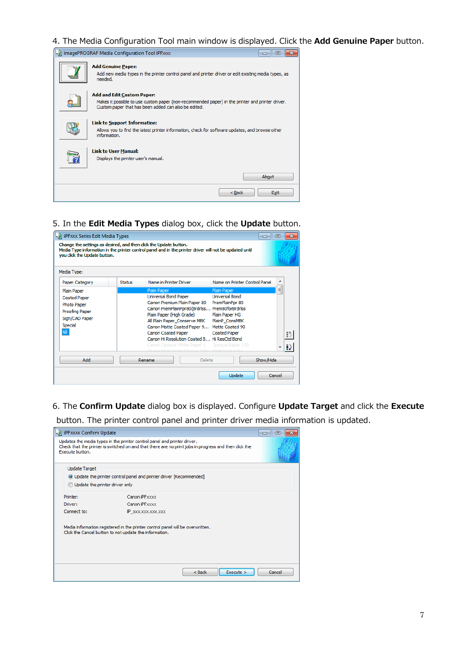4. The Media Configuration Tool main window is displayed. Click the **Add Genuine Paper** button.

| imagePROGRAF Media Configuration Tool iPFxxxx                                                                                                                                                 |
|-----------------------------------------------------------------------------------------------------------------------------------------------------------------------------------------------|
| <b>Add Genuine Paper:</b><br>Add new media types in the printer control panel and printer driver or edit existing media types, as<br>needed.                                                  |
| <b>Add and Edit Custom Paper:</b><br>Makes it possible to use custom paper (non-recommended paper) in the printer and printer driver.<br>Custom paper that has been added can also be edited. |
| <b>Link to Support Information:</b><br>Allows you to find the latest printer information, check for software updates, and browse other<br>information.                                        |
| <b>Link to User Manual:</b><br>Displays the printer user's manual.                                                                                                                            |
| About                                                                                                                                                                                         |
| $<$ Back<br>Exit                                                                                                                                                                              |

5. In the **Edit Media Types** dialog box, click the **Update** button.

| - iPFxxx Series Edit Media Types<br>叵<br>$\Box$ |                                                                                                                                                                                                            |               |                                                                                                                                                                                                                                                                                                                                                                                          |                                                                                                                    |           |   |
|-------------------------------------------------|------------------------------------------------------------------------------------------------------------------------------------------------------------------------------------------------------------|---------------|------------------------------------------------------------------------------------------------------------------------------------------------------------------------------------------------------------------------------------------------------------------------------------------------------------------------------------------------------------------------------------------|--------------------------------------------------------------------------------------------------------------------|-----------|---|
|                                                 | Change the settings as desired, and then dick the Update button.<br>Media Type information in the printer control panel and in the printer driver will not be updated until<br>you dick the Update button. |               |                                                                                                                                                                                                                                                                                                                                                                                          |                                                                                                                    |           |   |
|                                                 | Media Type:                                                                                                                                                                                                |               |                                                                                                                                                                                                                                                                                                                                                                                          |                                                                                                                    |           |   |
|                                                 | Paper Category                                                                                                                                                                                             | <b>Status</b> | Name in Printer Driver                                                                                                                                                                                                                                                                                                                                                                   | Name on Printer Control Panel                                                                                      |           |   |
|                                                 | Plain Paper<br><b>Coated Paper</b><br>Photo Paper<br>Proofing Paper<br>Sign/CAD Paper<br>Special<br>All                                                                                                    |               | Plain Paper<br>Universal Bond Paper<br>Canon Premium Plain Paper 80<br>Canon PremPlainPpr80(Brdrlss Prem80forBrdrlss<br>Plain Paper (High Grade)<br>All Plain Paper Conserve MBK<br>Canon Matte Coated Paper 9 Matte Coated 90<br>Canon Coated Paper<br>Canon Hi Resolution Coated B Hi ResCtd Bond<br>Canon Opague White Paper 1 Opague Paper 120<br>Mark Carlos Daniel HADE, Mark Carl | Plain Paper<br><b>Universal Bond</b><br>PremPlainPor 80<br>Plain Paper HG<br>PlainP ConsMBK<br><b>Coated Paper</b> |           | Ę |
|                                                 | Add                                                                                                                                                                                                        |               | Delete<br>Rename                                                                                                                                                                                                                                                                                                                                                                         |                                                                                                                    | Show/Hide |   |
|                                                 |                                                                                                                                                                                                            |               |                                                                                                                                                                                                                                                                                                                                                                                          | Update                                                                                                             | Cancel    |   |

6. The **Confirm Update** dialog box is displayed. Configure **Update Target** and click the **Execute**

button. The printer control panel and printer driver media information is updated.

| i iPFxxxx Confirm Update       |                                                                                                                                                                                  | 同<br>$\blacksquare$ |
|--------------------------------|----------------------------------------------------------------------------------------------------------------------------------------------------------------------------------|---------------------|
| Execute button.                | Updates the media types in the printer control panel and printer driver.<br>Check that the printer is switched on and that there are no print jobs in progress and then dick the |                     |
| <b>Update Target</b>           |                                                                                                                                                                                  |                     |
|                                | O Update the printer control panel and printer driver [Recommended]                                                                                                              |                     |
| Update the printer driver only |                                                                                                                                                                                  |                     |
| Printer:                       | Canon iPFxxxx                                                                                                                                                                    |                     |
| Driver:                        | Canon iPFxxxx                                                                                                                                                                    |                     |
| Connect to:                    | IP XXX.XXX.XXX.XXX                                                                                                                                                               |                     |
|                                | Media information registered in the printer control panel will be overwritten.<br>Click the Cancel button to not update the information.                                         |                     |
|                                | Execute ><br>$<$ Back                                                                                                                                                            | Cancel              |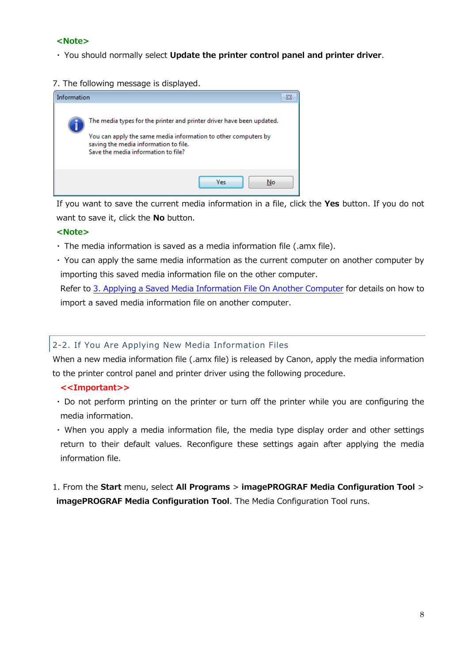#### <span id="page-7-0"></span> **<Note>**

- ・ You should normally select **Update the printer control panel and printer driver**.
- 7. The following message is displayed.



 If you want to save the current media information in a file, click the **Yes** button. If you do not want to save it, click the **No** button.

## **<Note>**

- ・ The media information is saved as a media information file (.amx file).
- ・ You can apply the same media information as the current computer on another computer by importing this saved media information file on the other computer.

 Refer to [3. Applying a Saved Media Information File On Another Computer](#page-13-0) for details on how to import a saved media information file on another computer.

# 2-2. If You Are Applying New Media Information Files

When a new media information file (.amx file) is released by Canon, apply the media information to the printer control panel and printer driver using the following procedure.

- **<<Important>>**
- ・ Do not perform printing on the printer or turn off the printer while you are configuring the media information.
- ・ When you apply a media information file, the media type display order and other settings return to their default values. Reconfigure these settings again after applying the media information file.

1. From the **Start** menu, select **All Programs** > **imagePROGRAF Media Configuration Tool** > **imagePROGRAF Media Configuration Tool**. The Media Configuration Tool runs.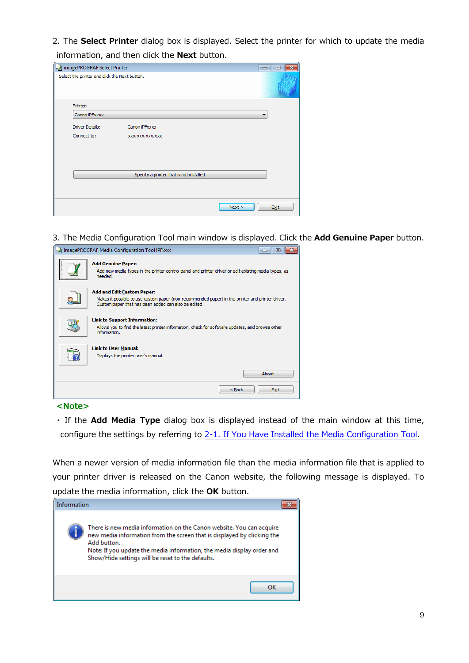2. The **Select Printer** dialog box is displayed. Select the printer for which to update the media information, and then click the **Next** button.

| ImagePROGRAF Select Printer                   |                                         |        | 回<br>$\Box$ |
|-----------------------------------------------|-----------------------------------------|--------|-------------|
| Select the printer and click the Next button. |                                         |        |             |
| Printer:                                      |                                         |        |             |
| Canon iPFxxxx                                 |                                         |        | ▼           |
| <b>Driver Details:</b>                        | Canon iPFxxxx                           |        |             |
| Connect to:                                   | XXX, XXX, XXX, XXX                      |        |             |
|                                               |                                         |        |             |
|                                               |                                         |        |             |
|                                               |                                         |        |             |
|                                               | Specify a printer that is not installed |        |             |
|                                               |                                         |        |             |
|                                               |                                         | Next > | Exit        |

3. The Media Configuration Tool main window is displayed. Click the **Add Genuine Paper** button.

| imagePROGRAF Media Configuration Tool iPFxxxx                                                                                                                                                 |
|-----------------------------------------------------------------------------------------------------------------------------------------------------------------------------------------------|
| <b>Add Genuine Paper:</b><br>Add new media types in the printer control panel and printer driver or edit existing media types, as<br>needed.                                                  |
| <b>Add and Edit Custom Paper:</b><br>Makes it possible to use custom paper (non-recommended paper) in the printer and printer driver.<br>Custom paper that has been added can also be edited. |
| <b>Link to Support Information:</b><br>Allows you to find the latest printer information, check for software updates, and browse other<br>information.                                        |
| <b>Link to User Manual:</b><br>Displays the printer user's manual.                                                                                                                            |
| About                                                                                                                                                                                         |
| $Back$<br>Exit                                                                                                                                                                                |

#### **<Note>**

・ If the **Add Media Type** dialog box is displayed instead of the main window at this time, configure the settings by referring to [2-1. If You Have Installed the Media Configuration Tool.](#page-2-0)

When a newer version of media information file than the media information file that is applied to your printer driver is released on the Canon website, the following message is displayed. To update the media information, click the **OK** button.

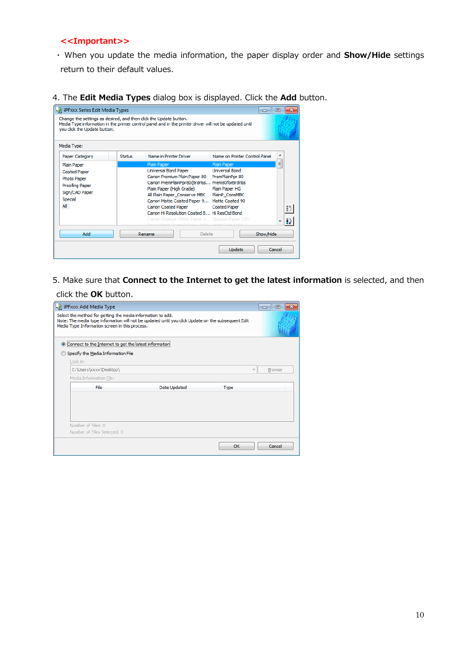#### **<<Important>>**

- ・ When you update the media information, the paper display order and **Show/Hide** settings return to their default values.
- 4. The **Edit Media Types** dialog box is displayed. Click the **Add** button.

| Change the settings as desired, and then click the Update button.<br>you click the Update button.<br>Media Type: |               | Media Type information in the printer control panel and in the printer driver will not be updated until                                                                                                                                                                                                                                                                                |                                                                                                                    |        |
|------------------------------------------------------------------------------------------------------------------|---------------|----------------------------------------------------------------------------------------------------------------------------------------------------------------------------------------------------------------------------------------------------------------------------------------------------------------------------------------------------------------------------------------|--------------------------------------------------------------------------------------------------------------------|--------|
| Paper Category                                                                                                   | <b>Status</b> | Name in Printer Driver                                                                                                                                                                                                                                                                                                                                                                 | Name on Printer Control Panel                                                                                      |        |
| Plain Paper<br><b>Coated Paper</b><br>Photo Paper<br>Proofing Paper<br>Sign/CAD Paper<br>Special<br>All          |               | Plain Paper<br>Universal Bond Paper<br>Canon Premium Plain Paper 80<br>Canon PremPlainPpr80(Brdrlss Prem80forBrdrlss<br>Plain Paper (High Grade)<br>All Plain Paper_Conserve MBK<br>Canon Matte Coated Paper 9 Matte Coated 90<br>Canon Coated Paper<br>Canon Hi Resolution Coated B Hi ResCtd Bond<br>Canon Opague White Paper 1 Opague Paper 120<br>LE MOULLED MULLER SAME AND LE MO | Plain Paper<br><b>Universal Bond</b><br>PremPlainPpr 80<br>Plain Paper HG<br>PlainP ConsMBK<br><b>Coated Paper</b> | 티      |
| Add                                                                                                              |               | Delete<br>Rename                                                                                                                                                                                                                                                                                                                                                                       | Show/Hide                                                                                                          |        |
|                                                                                                                  |               |                                                                                                                                                                                                                                                                                                                                                                                        | Update                                                                                                             | Cancel |

5. Make sure that **Connect to the Internet to get the latest information** is selected, and then

#### click the **OK** button.

| -31 iPFxxxx Add Media Type                                                                                                                                                                                         |              |             | 叵<br>$\Box$   |
|--------------------------------------------------------------------------------------------------------------------------------------------------------------------------------------------------------------------|--------------|-------------|---------------|
| Select the method for getting the media information to add.<br>Note: The media type information will not be updated until you dick Update on the subsequent Edit<br>Media Type Information screen in this process. |              |             |               |
| Connect to the Internet to get the latest information<br>o                                                                                                                                                         |              |             |               |
| Specify the Media Information File                                                                                                                                                                                 |              |             |               |
| Look in:                                                                                                                                                                                                           |              |             |               |
| C:\Users\xxxx\Desktop\                                                                                                                                                                                             |              |             | <b>Browse</b> |
| Media Information File:                                                                                                                                                                                            |              |             |               |
| File                                                                                                                                                                                                               | Date Updated | <b>Type</b> |               |
|                                                                                                                                                                                                                    |              |             |               |
|                                                                                                                                                                                                                    |              |             |               |
| Number of Files: 0                                                                                                                                                                                                 |              |             |               |
| Number of Files Selected: 0                                                                                                                                                                                        |              |             |               |
|                                                                                                                                                                                                                    |              | OK          | Cancel        |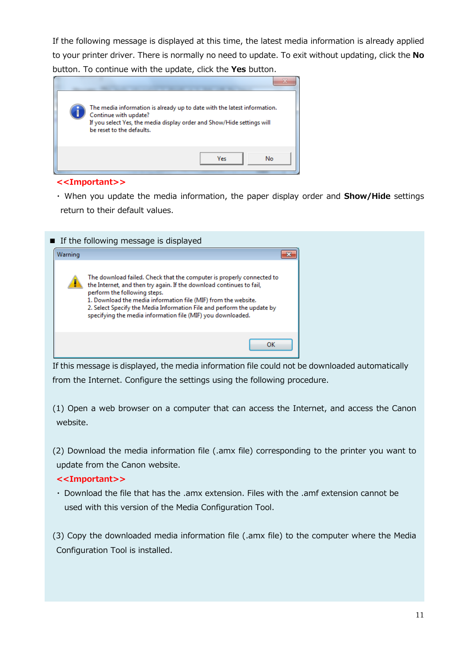If the following message is displayed at this time, the latest media information is already applied to your printer driver. There is normally no need to update. To exit without updating, click the **No** button. To continue with the update, click the **Yes** button.



#### **<<Important>>**

・ When you update the media information, the paper display order and **Show/Hide** settings return to their default values.



If this message is displayed, the media information file could not be downloaded automatically from the Internet. Configure the settings using the following procedure.

(1) Open a web browser on a computer that can access the Internet, and access the Canon website.

(2) Download the media information file (.amx file) corresponding to the printer you want to update from the Canon website.

#### **<<Important>>**

・ Download the file that has the .amx extension. Files with the .amf extension cannot be used with this version of the Media Configuration Tool.

(3) Copy the downloaded media information file (.amx file) to the computer where the Media Configuration Tool is installed.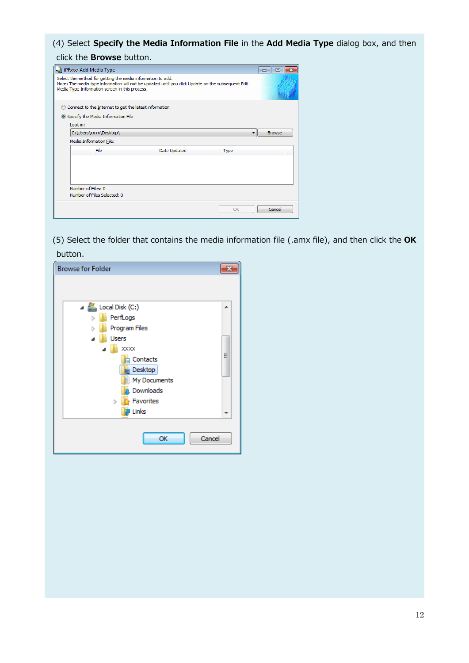(4) Select **Specify the Media Information File** in the **Add Media Type** dialog box, and then

click the **Browse** button.

| I iPFxxx Add Media Type                                                                                                                                                                                            |              |             | $\blacksquare$<br>$\Box$ |
|--------------------------------------------------------------------------------------------------------------------------------------------------------------------------------------------------------------------|--------------|-------------|--------------------------|
| Select the method for getting the media information to add.<br>Note: The media type information will not be updated until you dick Update on the subsequent Edit<br>Media Type Information screen in this process. |              |             |                          |
| Connect to the Internet to get the latest information                                                                                                                                                              |              |             |                          |
| Specify the Media Information File                                                                                                                                                                                 |              |             |                          |
| Look in:                                                                                                                                                                                                           |              |             |                          |
| C:\Users\xxxx\Desktop\                                                                                                                                                                                             |              |             | <b>Browse</b>            |
| Media Information File:                                                                                                                                                                                            |              |             |                          |
| File                                                                                                                                                                                                               | Date Updated | <b>Type</b> |                          |
|                                                                                                                                                                                                                    |              |             |                          |
| Number of Files: 0<br>Number of Files Selected: 0                                                                                                                                                                  |              |             |                          |
|                                                                                                                                                                                                                    |              | OK          | Cancel                   |

(5) Select the folder that contains the media information file (.amx file), and then click the **OK** button.

| <b>Browse for Folder</b>                                                                                           |   |
|--------------------------------------------------------------------------------------------------------------------|---|
| $\blacktriangleleft$ $\mathbf{H}$ Local Disk (C:)<br>PerfLogs<br>ь                                                 | ┻ |
| Program Files<br>Þ<br>Users<br>XXXX<br>Contacts<br>Desktop<br>My Documents<br>Downloads<br>Favorites<br>Þ<br>Links | Ξ |
| ОК<br>Cancel                                                                                                       |   |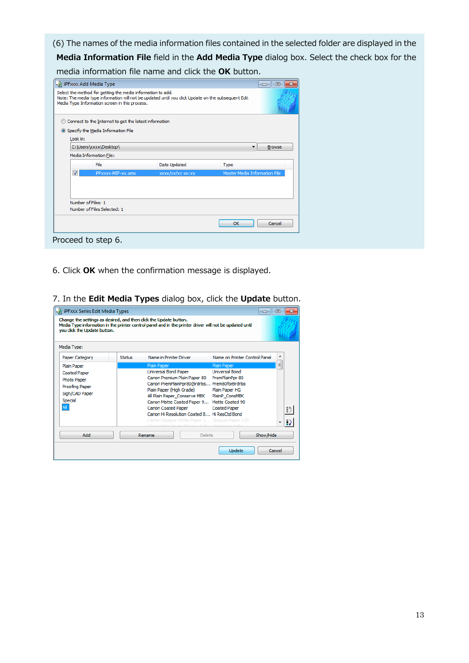(6) The names of the media information files contained in the selected folder are displayed in the **Media Information File** field in the **Add Media Type** dialog box. Select the check box for the media information file name and click the **OK** button.

|          | -31 iPFxxx Add Media Type<br>Select the method for getting the media information to add.<br>Note: The media type information will not be updated until you dick Update on the subsequent Edit<br>Media Type Information screen in this process. |                   |                               | 同<br>$\Box$   |
|----------|-------------------------------------------------------------------------------------------------------------------------------------------------------------------------------------------------------------------------------------------------|-------------------|-------------------------------|---------------|
|          |                                                                                                                                                                                                                                                 |                   |                               |               |
|          | Connect to the Internet to get the latest information                                                                                                                                                                                           |                   |                               |               |
|          | Specify the Media Information File                                                                                                                                                                                                              |                   |                               |               |
| Look in: |                                                                                                                                                                                                                                                 |                   |                               |               |
|          | C:\Users\xxxx\Desktop\                                                                                                                                                                                                                          |                   |                               | <b>Browse</b> |
|          | Media Information File:                                                                                                                                                                                                                         |                   |                               |               |
|          | File                                                                                                                                                                                                                                            | Date Updated      | <b>Type</b>                   |               |
|          | iPFxxxx-MIF-xx.amx                                                                                                                                                                                                                              | xxxxx/xx/xx xx:xx | Master Media Information File |               |
|          |                                                                                                                                                                                                                                                 |                   |                               |               |
|          |                                                                                                                                                                                                                                                 |                   |                               |               |
|          | Number of Files: 1                                                                                                                                                                                                                              |                   |                               |               |
|          | Number of Files Selected: 1                                                                                                                                                                                                                     |                   |                               |               |
|          |                                                                                                                                                                                                                                                 |                   |                               |               |
|          |                                                                                                                                                                                                                                                 |                   | OK                            | Cancel        |

- 6. Click **OK** when the confirmation message is displayed.
- **July iPFxxx Series Edit Media Types**  $\boxed{\circ}$   $\boxed{\circ}$   $\boxed{\circ}$ Change the settings as desired, and then dick the Update button.<br>Media Type information in the printer control panel and in the printer driver will not be updated until<br>you dick the Update button. Media Type: Name on Printer Control Panel  $\overline{\phantom{a}}$ Paper Category Status Name in Printer Driver  $\begin{array}{c} \begin{array}{c} \begin{array}{c} \end{array} \end{array} \end{array}$ Plain Paper Universal Bond Paper Universal Bond **Coated Paper** Canon Premium Plain Paper 80 PremPlainPpr 80 Photo Paper Canon PremPlainPpr80(Brdrlss... Prem80forBrdrlss Proofing Paper Plain Paper (High Grade) Plain Paper HG Sign/CAD Paper All Plain Paper\_Conserve MBK PlainP\_ConsMBK Special Canon Matte Coated Paper 9... Matte Coated 90 All 1 Canon Coated Paper **Coated Paper**  $\left| \cdot \right\rangle$ Canon Hi Resolution Coated B... Hi ResCtd Bond Ð Add Rename Delete Show/Hide  $\overline{\phantom{a}}$  $\overline{\phantom{a}}$ Update Cancel
- 7. In the **Edit Media Types** dialog box, click the **Update** button.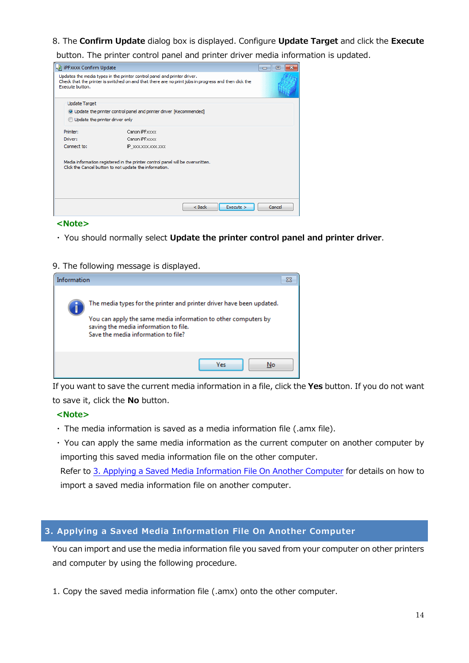#### <span id="page-13-0"></span>8. The **Confirm Update** dialog box is displayed. Configure **Update Target** and click the **Execute**

button. The printer control panel and printer driver media information is updated.

| -31 iPFxxxx Confirm Update                                                                                                                                                                          | E<br>$\Box$                                                                                                                              |        |
|-----------------------------------------------------------------------------------------------------------------------------------------------------------------------------------------------------|------------------------------------------------------------------------------------------------------------------------------------------|--------|
| Updates the media types in the printer control panel and printer driver.<br>Check that the printer is switched on and that there are no print jobs in progress and then dick the<br>Execute button. |                                                                                                                                          |        |
| <b>Update Target</b>                                                                                                                                                                                |                                                                                                                                          |        |
|                                                                                                                                                                                                     | O Update the printer control panel and printer driver [Recommended]                                                                      |        |
| Update the printer driver only                                                                                                                                                                      |                                                                                                                                          |        |
| Printer:                                                                                                                                                                                            | Canon iPFxxxx                                                                                                                            |        |
| Driver:                                                                                                                                                                                             | Canon iPFxxxx                                                                                                                            |        |
| Connect to:                                                                                                                                                                                         | IP XXX.XXX.XXX.XXX                                                                                                                       |        |
|                                                                                                                                                                                                     | Media information registered in the printer control panel will be overwritten.<br>Click the Cancel button to not update the information. |        |
|                                                                                                                                                                                                     | Execute<br>$<$ Back                                                                                                                      | Cancel |

#### **<Note>**

- ・ You should normally select **Update the printer control panel and printer driver**.
- 9. The following message is displayed.

| Information |                                                                                                                                                                                                                         |  |
|-------------|-------------------------------------------------------------------------------------------------------------------------------------------------------------------------------------------------------------------------|--|
|             | The media types for the printer and printer driver have been updated.<br>You can apply the same media information to other computers by<br>saving the media information to file.<br>Save the media information to file? |  |
|             | Yes<br>No                                                                                                                                                                                                               |  |

If you want to save the current media information in a file, click the **Yes** button. If you do not want to save it, click the **No** button.

#### **<Note>**

- ・ The media information is saved as a media information file (.amx file).
- ・ You can apply the same media information as the current computer on another computer by importing this saved media information file on the other computer. Refer to [3. Applying a Saved Media Information File On Another Computer](#page-13-0) for details on how to import a saved media information file on another computer.

# **3. Applying a Saved Media Information File On Another Computer**

You can import and use the media information file you saved from your computer on other printers and computer by using the following procedure.

1. Copy the saved media information file (.amx) onto the other computer.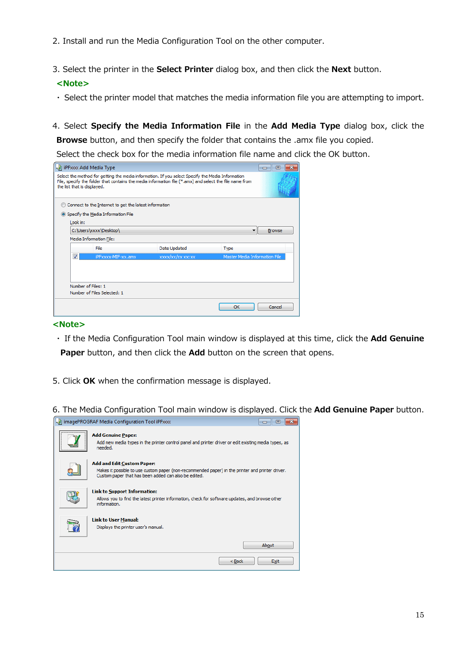- 2. Install and run the Media Configuration Tool on the other computer.
- 3. Select the printer in the **Select Printer** dialog box, and then click the **Next** button.

#### **<Note>**

- ・ Select the printer model that matches the media information file you are attempting to import.
- 4. Select **Specify the Media Information File** in the **Add Media Type** dialog box, click the **Browse** button, and then specify the folder that contains the .amx file you copied.

Select the check box for the media information file name and click the OK button.

|                                                                                                                                                                                                                                            | -31 iPFxxxx Add Media Type                            |                             |                               | 同<br>المصد |  |
|--------------------------------------------------------------------------------------------------------------------------------------------------------------------------------------------------------------------------------------------|-------------------------------------------------------|-----------------------------|-------------------------------|------------|--|
| Select the method for getting the media information. If you select Specify the Media Information<br>File, specify the folder that contains the media information file (*,amx) and select the file name from<br>the list that is displayed. |                                                       |                             |                               |            |  |
|                                                                                                                                                                                                                                            | Connect to the Internet to get the latest information |                             |                               |            |  |
|                                                                                                                                                                                                                                            | Specify the Media Information File                    |                             |                               |            |  |
|                                                                                                                                                                                                                                            | Look in:                                              |                             |                               |            |  |
|                                                                                                                                                                                                                                            | C:\Users\xxxx\Desktop\<br>٠                           |                             |                               |            |  |
|                                                                                                                                                                                                                                            | Media Information File:                               |                             |                               |            |  |
|                                                                                                                                                                                                                                            | File                                                  | Date Updated                | Type                          |            |  |
| $\overline{\mathcal{A}}$                                                                                                                                                                                                                   | iPFxxxx-MIF-xx.amx                                    | $\frac{2}{x}$ xxx xx xx xxx | Master Media Information File |            |  |
|                                                                                                                                                                                                                                            | Number of Files: 1<br>Number of Files Selected: 1     |                             |                               |            |  |
|                                                                                                                                                                                                                                            |                                                       |                             | OK                            | Cancel     |  |

#### **<Note>**

- ・ If the Media Configuration Tool main window is displayed at this time, click the **Add Genuine**  Paper button, and then click the Add button on the screen that opens.
- 5. Click **OK** when the confirmation message is displayed.
- 6. The Media Configuration Tool main window is displayed. Click the **Add Genuine Paper** button.

| imagePROGRAF Media Configuration Tool iPFxxxx                                                                                                                                                 | E     |  |
|-----------------------------------------------------------------------------------------------------------------------------------------------------------------------------------------------|-------|--|
| <br><b>Add Genuine Paper:</b><br>Add new media types in the printer control panel and printer driver or edit existing media types, as<br>needed.                                              |       |  |
| <b>Add and Edit Custom Paper:</b><br>Makes it possible to use custom paper (non-recommended paper) in the printer and printer driver.<br>Custom paper that has been added can also be edited. |       |  |
| <b>Link to Support Information:</b><br>Allows you to find the latest printer information, check for software updates, and browse other<br>information.                                        |       |  |
| <b>Link to User Manual:</b><br>Displays the printer user's manual.                                                                                                                            |       |  |
|                                                                                                                                                                                               | About |  |
| $Back$                                                                                                                                                                                        | Exit  |  |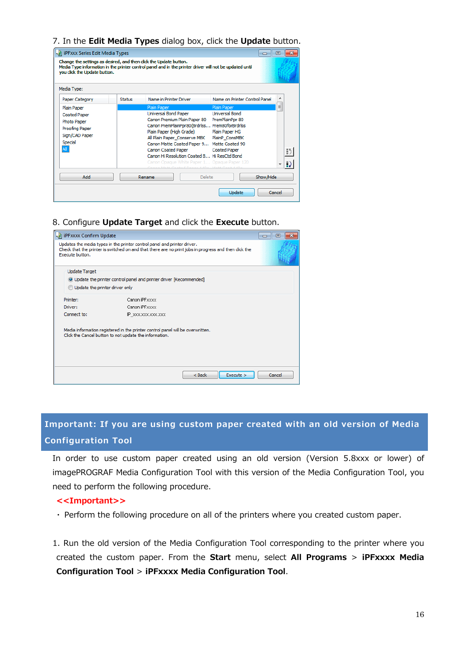#### <span id="page-15-0"></span>7. In the **Edit Media Types** dialog box, click the **Update** button.

| iPFxxx Series Edit Media Types<br>you dick the Update button.                                           |               | Change the settings as desired, and then dick the Update button.<br>Media Type information in the printer control panel and in the printer driver will not be updated until                                                                                                                                                                                                                        | $\Box$                                                                                                             | 同      |
|---------------------------------------------------------------------------------------------------------|---------------|----------------------------------------------------------------------------------------------------------------------------------------------------------------------------------------------------------------------------------------------------------------------------------------------------------------------------------------------------------------------------------------------------|--------------------------------------------------------------------------------------------------------------------|--------|
| Media Type:<br>Paper Category                                                                           | <b>Status</b> | Name in Printer Driver                                                                                                                                                                                                                                                                                                                                                                             | Name on Printer Control Panel                                                                                      | ▴      |
| Plain Paper<br><b>Coated Paper</b><br>Photo Paper<br>Proofing Paper<br>Sign/CAD Paper<br>Special<br>All |               | Plain Paper<br>Universal Bond Paper<br>Canon Premium Plain Paper 80<br>Canon PremPlainPpr80(Brdrlss Prem80forBrdrlss<br>Plain Paper (High Grade)<br>All Plain Paper_Conserve MBK<br>Canon Matte Coated Paper 9 Matte Coated 90<br><b>Canon Coated Paper</b><br>Canon Hi Resolution Coated B Hi ResCtd Bond<br>Canon Opaque White Paper 1 Opaque Paper 120<br>Mass Caused Bauer KABA, Mass Caus KAP | Plain Paper<br><b>Universal Bond</b><br>PremPlainPpr 80<br>Plain Paper HG<br>PlainP ConsMBK<br><b>Coated Paper</b> | Ξ<br>Ð |
| Add                                                                                                     |               | Delete<br>Rename                                                                                                                                                                                                                                                                                                                                                                                   | Show/Hide                                                                                                          |        |
|                                                                                                         |               |                                                                                                                                                                                                                                                                                                                                                                                                    | Update                                                                                                             | Cancel |

8. Configure **Update Target** and click the **Execute** button.

| PFxxxx Confirm Update          |                                                                                                                                                                                  | 同<br>ادهد |
|--------------------------------|----------------------------------------------------------------------------------------------------------------------------------------------------------------------------------|-----------|
| Execute button.                | Updates the media types in the printer control panel and printer driver.<br>Check that the printer is switched on and that there are no print jobs in progress and then dick the |           |
| <b>Update Target</b>           |                                                                                                                                                                                  |           |
|                                | O Update the printer control panel and printer driver [Recommended]                                                                                                              |           |
| Update the printer driver only |                                                                                                                                                                                  |           |
| Printer:                       | Canon iPFxxxx                                                                                                                                                                    |           |
| Driver:                        | Canon iPFxxxx                                                                                                                                                                    |           |
| Connect to:                    | IP XXX.XXX.XXX.XXX                                                                                                                                                               |           |
|                                | Media information registered in the printer control panel will be overwritten.<br>Click the Cancel button to not update the information.                                         |           |
|                                | $<$ Back<br>Execute >                                                                                                                                                            | Cancel    |

**Important: If you are using custom paper created with an old version of Media Configuration Tool** 

In order to use custom paper created using an old version (Version 5.8xxx or lower) of imagePROGRAF Media Configuration Tool with this version of the Media Configuration Tool, you need to perform the following procedure.

#### **<<Important>>**

・ Perform the following procedure on all of the printers where you created custom paper.

1. Run the old version of the Media Configuration Tool corresponding to the printer where you created the custom paper. From the **Start** menu, select **All Programs** > **iPFxxxx Media Configuration Tool** > **iPFxxxx Media Configuration Tool**.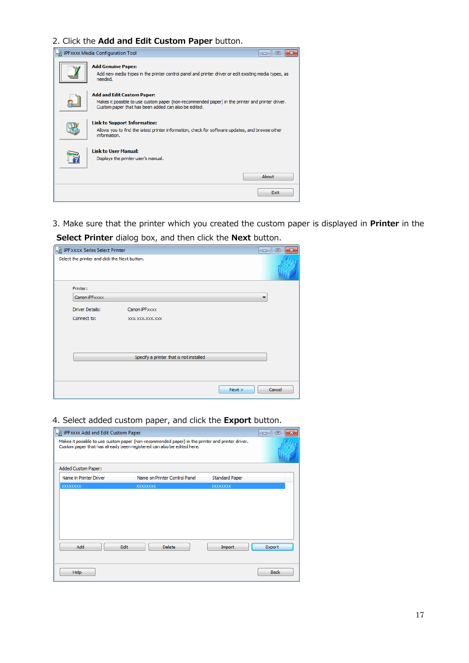## 2. Click the **Add and Edit Custom Paper** button.

| iPFxxxx Media Configuration Tool<br>同<br>المصب                                                                                                                                                |  |
|-----------------------------------------------------------------------------------------------------------------------------------------------------------------------------------------------|--|
| <b>Add Genuine Paper:</b><br>Add new media types in the printer control panel and printer driver or edit existing media types, as<br>needed.                                                  |  |
| <b>Add and Edit Custom Paper:</b><br>Makes it possible to use custom paper (non-recommended paper) in the printer and printer driver.<br>Custom paper that has been added can also be edited. |  |
| <b>Link to Support Information:</b><br>Allows you to find the latest printer information, check for software updates, and browse other<br>information.                                        |  |
| <b>Link to User Manual:</b><br>Displays the printer user's manual.                                                                                                                            |  |
| About                                                                                                                                                                                         |  |
| Fxit                                                                                                                                                                                          |  |

3. Make sure that the printer which you created the custom paper is displayed in **Printer** in the **Select Printer** dialog box, and then click the **Next** button.

| - iPFxxxx Series Select Printer               |                                         |        | $\overline{\mathbf{x}}$<br>回<br>--- |
|-----------------------------------------------|-----------------------------------------|--------|-------------------------------------|
| Select the printer and click the Next button. |                                         |        |                                     |
| Printer:                                      |                                         |        |                                     |
| Canon iPFxxxx                                 |                                         |        | ▼                                   |
| <b>Driver Details:</b>                        | Canon iPFxxxx                           |        |                                     |
| Connect to:                                   | XXX, XXX, XXX, XXX                      |        |                                     |
|                                               |                                         |        |                                     |
|                                               |                                         |        |                                     |
|                                               |                                         |        |                                     |
|                                               | Specify a printer that is not installed |        |                                     |
|                                               |                                         |        |                                     |
|                                               |                                         |        |                                     |
|                                               |                                         | Next > | Cancel                              |
|                                               |                                         |        |                                     |

# 4. Select added custom paper, and click the **Export** button.

| iPFxxxx Add and Edit Custom Paper |                                                                                                                                                                            |                       | 冋<br>--     |
|-----------------------------------|----------------------------------------------------------------------------------------------------------------------------------------------------------------------------|-----------------------|-------------|
|                                   | Makes it possible to use custom paper (non-recommended paper) in the printer and printer driver.<br>Custom paper that has already been registered can also be edited here. |                       |             |
| <b>Added Custom Paper:</b>        |                                                                                                                                                                            |                       |             |
| Name in Printer Driver            | Name on Printer Control Panel                                                                                                                                              | <b>Standard Paper</b> |             |
| <b>XXXXXXXX</b>                   | XXXXXXXX                                                                                                                                                                   | XXXXXXXX              |             |
| Add                               | Edit<br><b>Delete</b>                                                                                                                                                      | Import                | Export      |
| Help                              |                                                                                                                                                                            |                       | <b>Back</b> |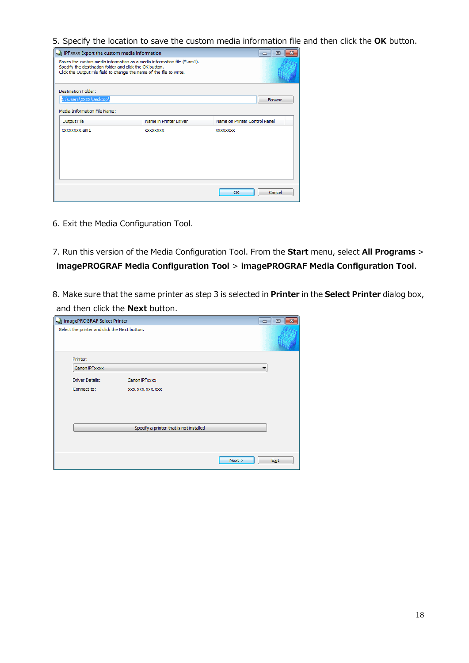5. Specify the location to save the custom media information file and then click the **OK** button.

| -> iPFxxxx Export the custom media information          |                                                                                                                                                 | 同<br>$\Box$                   |
|---------------------------------------------------------|-------------------------------------------------------------------------------------------------------------------------------------------------|-------------------------------|
| Specify the destination folder and click the OK button. | Saves the custom media information as a media information file (*.am1).<br>Click the Output File field to change the name of the file to write. |                               |
| <b>Destination Folder:</b>                              |                                                                                                                                                 |                               |
| C:\Users\xxxx\Desktop\                                  |                                                                                                                                                 | <b>Browse</b>                 |
| Media Information File Name:                            |                                                                                                                                                 |                               |
| Output File                                             | Name in Printer Driver                                                                                                                          | Name on Printer Control Panel |
| xxxxxxxx.am1                                            | <b>XXXXXXXX</b>                                                                                                                                 | <b>XXXXXXXXX</b>              |
|                                                         |                                                                                                                                                 |                               |
|                                                         |                                                                                                                                                 |                               |
|                                                         |                                                                                                                                                 |                               |
|                                                         |                                                                                                                                                 |                               |
|                                                         |                                                                                                                                                 |                               |
|                                                         |                                                                                                                                                 | Cancel<br>OK                  |

- 6. Exit the Media Configuration Tool.
- 7. Run this version of the Media Configuration Tool. From the **Start** menu, select **All Programs** > **imagePROGRAF Media Configuration Tool** > **imagePROGRAF Media Configuration Tool**.
- 8. Make sure that the same printer as step 3 is selected in **Printer** in the **Select Printer** dialog box, and then click the **Next** button.

| - imagePROGRAF Select Printer                 |                                         |      | 回<br>--- |
|-----------------------------------------------|-----------------------------------------|------|----------|
| Select the printer and click the Next button. |                                         |      |          |
| Printer:                                      |                                         |      |          |
| Canon iPFxxxx                                 |                                         |      | ۰        |
| <b>Driver Details:</b>                        | Canon iPFxxxx                           |      |          |
| Connect to:                                   | XXX. XXX. XXX. XXX                      |      |          |
|                                               |                                         |      |          |
|                                               |                                         |      |          |
|                                               |                                         |      |          |
|                                               | Specify a printer that is not installed |      |          |
|                                               |                                         |      |          |
|                                               |                                         | Next | Exit     |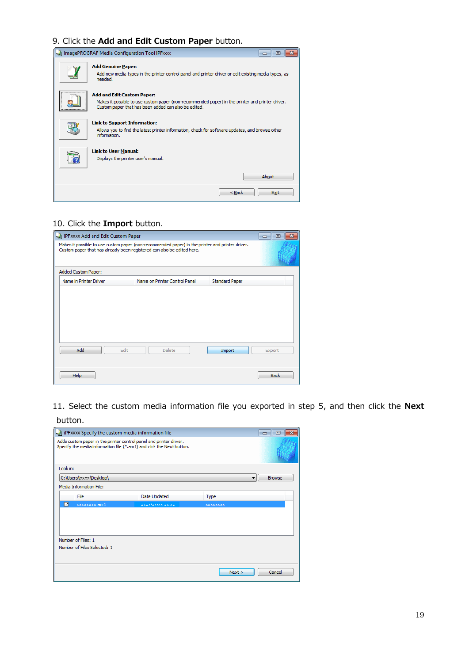# 9. Click the **Add and Edit Custom Paper** button.

| imagePROGRAF Media Configuration Tool iPFxxxx                                                                                                                                                     |
|---------------------------------------------------------------------------------------------------------------------------------------------------------------------------------------------------|
| <b>Add Genuine Paper:</b><br>Add new media types in the printer control panel and printer driver or edit existing media types, as<br>needed.                                                      |
| <br><b>Add and Edit Custom Paper:</b><br>Makes it possible to use custom paper (non-recommended paper) in the printer and printer driver.<br>Custom paper that has been added can also be edited. |
| <b>Link to Support Information:</b><br>Allows you to find the latest printer information, check for software updates, and browse other<br>information.                                            |
| <b>Link to User Manual:</b><br>Displays the printer user's manual.                                                                                                                                |
| About                                                                                                                                                                                             |
| $Back$<br>Exit                                                                                                                                                                                    |

#### 10. Click the **Import** button.

| iPFxxxx Add and Edit Custom Paper |                                                                                                                                                                            |                       | $\mathbf{x}$<br>冋<br>$\Box$ |
|-----------------------------------|----------------------------------------------------------------------------------------------------------------------------------------------------------------------------|-----------------------|-----------------------------|
|                                   | Makes it possible to use custom paper (non-recommended paper) in the printer and printer driver.<br>Custom paper that has already been registered can also be edited here. |                       |                             |
| Added Custom Paper:               |                                                                                                                                                                            |                       |                             |
| Name in Printer Driver            | Name on Printer Control Panel                                                                                                                                              | <b>Standard Paper</b> |                             |
| Add                               | Edit<br><b>Delete</b>                                                                                                                                                      | Import                | Export                      |
| Help                              |                                                                                                                                                                            |                       | <b>Back</b>                 |

11. Select the custom media information file you exported in step 5, and then click the **Next** button.

|          | iPFxxxx Specify the custom media information file |                                                                                                                                             |             | ×<br>同<br>--  |
|----------|---------------------------------------------------|---------------------------------------------------------------------------------------------------------------------------------------------|-------------|---------------|
|          |                                                   | Adds custom paper in the printer control panel and printer driver.<br>Specify the media information file (*.am1) and click the Next button. |             |               |
| Look in: |                                                   |                                                                                                                                             |             |               |
|          | C:\Users\xxxx\Desktop\                            |                                                                                                                                             |             | <b>Browse</b> |
|          | Media Information File:                           |                                                                                                                                             |             |               |
|          | File                                              | Date Updated                                                                                                                                | <b>Type</b> |               |
| ⊡        | xxxxxxxx.am1                                      | xxxxlxxlxx xx:xx                                                                                                                            | XXXXXXXX    |               |
|          |                                                   |                                                                                                                                             |             |               |
|          | Number of Files: 1                                |                                                                                                                                             |             |               |
|          | Number of Files Selected: 1                       |                                                                                                                                             |             |               |
|          |                                                   |                                                                                                                                             | Next        | Cancel        |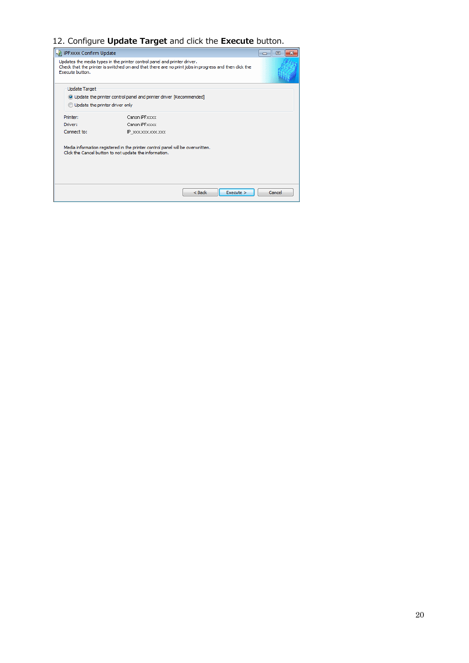# 12. Configure **Update Target** and click the **Execute** button.

| I iPFxxxx Confirm Update       |                                                                                                                                                                                  | le<br>$\Box$ |
|--------------------------------|----------------------------------------------------------------------------------------------------------------------------------------------------------------------------------|--------------|
| Execute button.                | Updates the media types in the printer control panel and printer driver.<br>Check that the printer is switched on and that there are no print jobs in progress and then dick the |              |
| <b>Update Target</b>           |                                                                                                                                                                                  |              |
|                                | O Update the printer control panel and printer driver [Recommended]                                                                                                              |              |
| Update the printer driver only |                                                                                                                                                                                  |              |
| Printer:                       | Canon iPFxxxx                                                                                                                                                                    |              |
| Driver:                        | Canon iPFxxxx                                                                                                                                                                    |              |
| Connect to:                    | IP XXX.XXX.XXX.XXX                                                                                                                                                               |              |
|                                | Media information registered in the printer control panel will be overwritten.<br>Click the Cancel button to not update the information.                                         |              |
|                                | Execute ><br>$<$ Back                                                                                                                                                            | Cancel       |